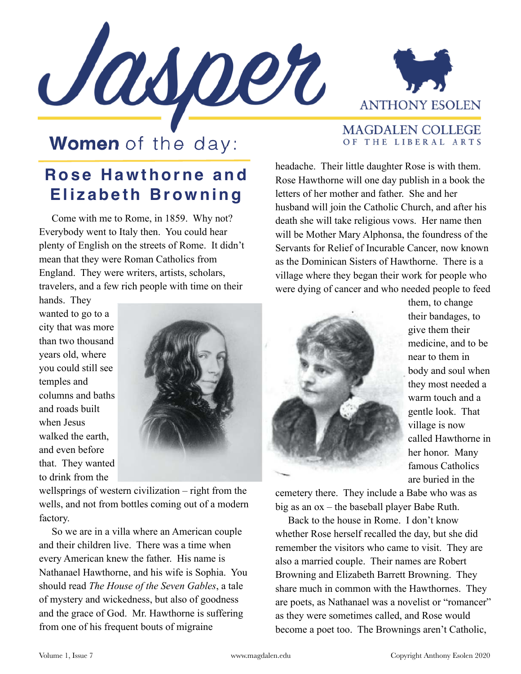



**MAGDALEN COLLEGE** OF THE LIBERAL ARTS

## **Women** of the day:

## **Rose Hawthorne and Elizabeth Browning**

 Come with me to Rome, in 1859. Why not? Everybody went to Italy then. You could hear plenty of English on the streets of Rome. It didn't mean that they were Roman Catholics from England. They were writers, artists, scholars, travelers, and a few rich people with time on their

headache. Their little daughter Rose is with them. Rose Hawthorne will one day publish in a book the letters of her mother and father. She and her husband will join the Catholic Church, and after his death she will take religious vows. Her name then will be Mother Mary Alphonsa, the foundress of the Servants for Relief of Incurable Cancer, now known as the Dominican Sisters of Hawthorne. There is a village where they began their work for people who were dying of cancer and who needed people to feed

hands. They wanted to go to a city that was more than two thousand years old, where you could still see temples and columns and baths and roads built when Jesus walked the earth, and even before that. They wanted to drink from the



wellsprings of western civilization – right from the wells, and not from bottles coming out of a modern factory.

 So we are in a villa where an American couple and their children live. There was a time when every American knew the father. His name is Nathanael Hawthorne, and his wife is Sophia. You should read *The House of the Seven Gables*, a tale of mystery and wickedness, but also of goodness and the grace of God. Mr. Hawthorne is suffering from one of his frequent bouts of migraine



them, to change their bandages, to give them their medicine, and to be near to them in body and soul when they most needed a warm touch and a gentle look. That village is now called Hawthorne in her honor. Many famous Catholics are buried in the

cemetery there. They include a Babe who was as big as an ox – the baseball player Babe Ruth.

 Back to the house in Rome. I don't know whether Rose herself recalled the day, but she did remember the visitors who came to visit. They are also a married couple. Their names are Robert Browning and Elizabeth Barrett Browning. They share much in common with the Hawthornes. They are poets, as Nathanael was a novelist or "romancer" as they were sometimes called, and Rose would become a poet too. The Brownings aren't Catholic,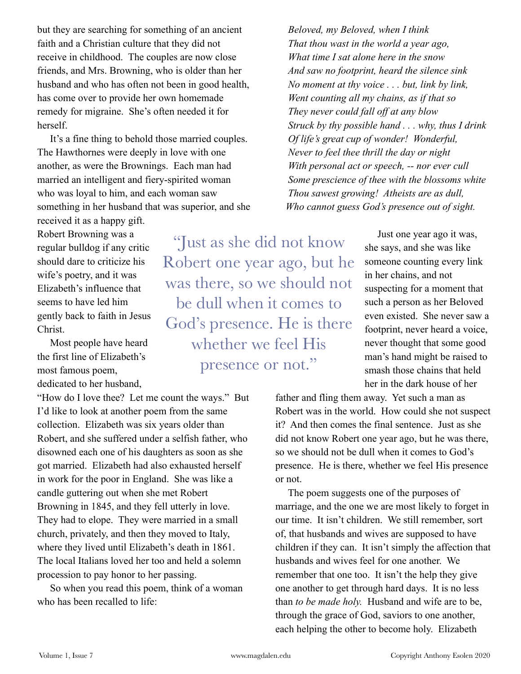but they are searching for something of an ancient faith and a Christian culture that they did not receive in childhood. The couples are now close friends, and Mrs. Browning, who is older than her husband and who has often not been in good health, has come over to provide her own homemade remedy for migraine. She's often needed it for herself.

 It's a fine thing to behold those married couples. The Hawthornes were deeply in love with one another, as were the Brownings. Each man had married an intelligent and fiery-spirited woman who was loyal to him, and each woman saw something in her husband that was superior, and she

received it as a happy gift. Robert Browning was a regular bulldog if any critic should dare to criticize his wife's poetry, and it was Elizabeth's influence that seems to have led him gently back to faith in Jesus Christ.

 Most people have heard the first line of Elizabeth's most famous poem, dedicated to her husband,

"How do I love thee? Let me count the ways." But I'd like to look at another poem from the same collection. Elizabeth was six years older than Robert, and she suffered under a selfish father, who disowned each one of his daughters as soon as she got married. Elizabeth had also exhausted herself in work for the poor in England. She was like a candle guttering out when she met Robert Browning in 1845, and they fell utterly in love. They had to elope. They were married in a small church, privately, and then they moved to Italy, where they lived until Elizabeth's death in 1861. The local Italians loved her too and held a solemn procession to pay honor to her passing.

 So when you read this poem, think of a woman who has been recalled to life:

"Just as she did not know Robert one year ago, but he was there, so we should not be dull when it comes to God's presence. He is there whether we feel His presence or not."

 *Beloved, my Beloved, when I think That thou wast in the world a year ago, What time I sat alone here in the snow And saw no footprint, heard the silence sink No moment at thy voice . . . but, link by link, Went counting all my chains, as if that so They never could fall off at any blow Struck by thy possible hand . . . why, thus I drink Of life's great cup of wonder! Wonderful, Never to feel thee thrill the day or night With personal act or speech, -- nor ever cull Some prescience of thee with the blossoms white Thou sawest growing! Atheists are as dull, Who cannot guess God's presence out of sight.*

> Just one year ago it was, she says, and she was like someone counting every link in her chains, and not suspecting for a moment that such a person as her Beloved even existed. She never saw a footprint, never heard a voice, never thought that some good man's hand might be raised to smash those chains that held her in the dark house of her

father and fling them away. Yet such a man as Robert was in the world. How could she not suspect it? And then comes the final sentence. Just as she did not know Robert one year ago, but he was there, so we should not be dull when it comes to God's presence. He is there, whether we feel His presence or not.

 The poem suggests one of the purposes of marriage, and the one we are most likely to forget in our time. It isn't children. We still remember, sort of, that husbands and wives are supposed to have children if they can. It isn't simply the affection that husbands and wives feel for one another. We remember that one too. It isn't the help they give one another to get through hard days. It is no less than *to be made holy.* Husband and wife are to be, through the grace of God, saviors to one another, each helping the other to become holy. Elizabeth